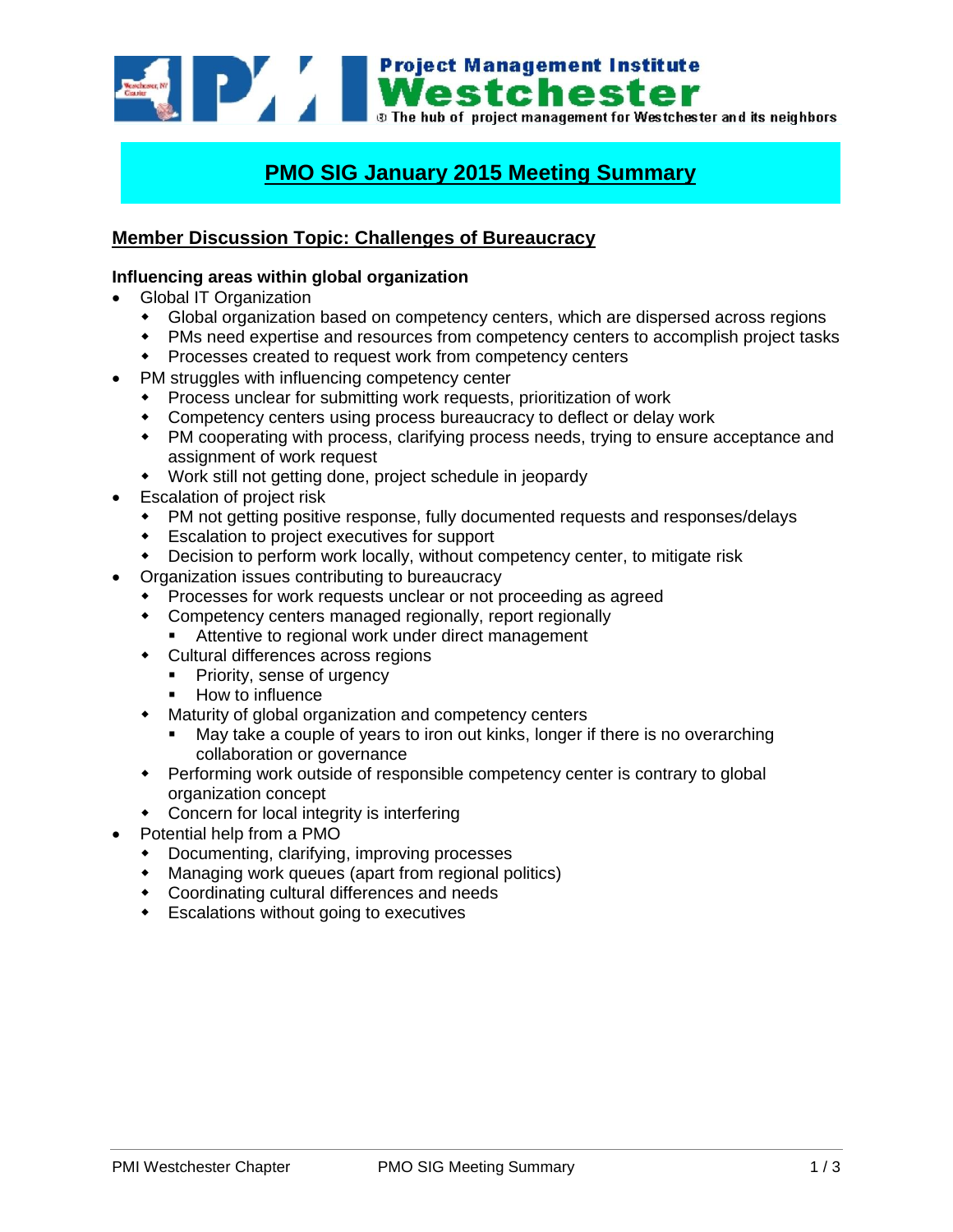

# **PMO SIG January 2015 Meeting Summary**

## **Member Discussion Topic: Challenges of Bureaucracy**

#### **Influencing areas within global organization**

- Global IT Organization
	- Global organization based on competency centers, which are dispersed across regions
	- PMs need expertise and resources from competency centers to accomplish project tasks
	- Processes created to request work from competency centers
- PM struggles with influencing competency center
	- Process unclear for submitting work requests, prioritization of work
	- Competency centers using process bureaucracy to deflect or delay work
	- PM cooperating with process, clarifying process needs, trying to ensure acceptance and assignment of work request
	- Work still not getting done, project schedule in jeopardy
- Escalation of project risk
	- PM not getting positive response, fully documented requests and responses/delays
	- Escalation to project executives for support
	- Decision to perform work locally, without competency center, to mitigate risk
- Organization issues contributing to bureaucracy
	- Processes for work requests unclear or not proceeding as agreed
	- Competency centers managed regionally, report regionally
		- **Attentive to regional work under direct management**
	- Cultural differences across regions
		- **Priority, sense of urgency**
		- **How to influence**
	- Maturity of global organization and competency centers
		- May take a couple of years to iron out kinks, longer if there is no overarching collaboration or governance
	- Performing work outside of responsible competency center is contrary to global organization concept
	- Concern for local integrity is interfering
- Potential help from a PMO
	- Documenting, clarifying, improving processes
	- Managing work queues (apart from regional politics)
	- Coordinating cultural differences and needs
	- Escalations without going to executives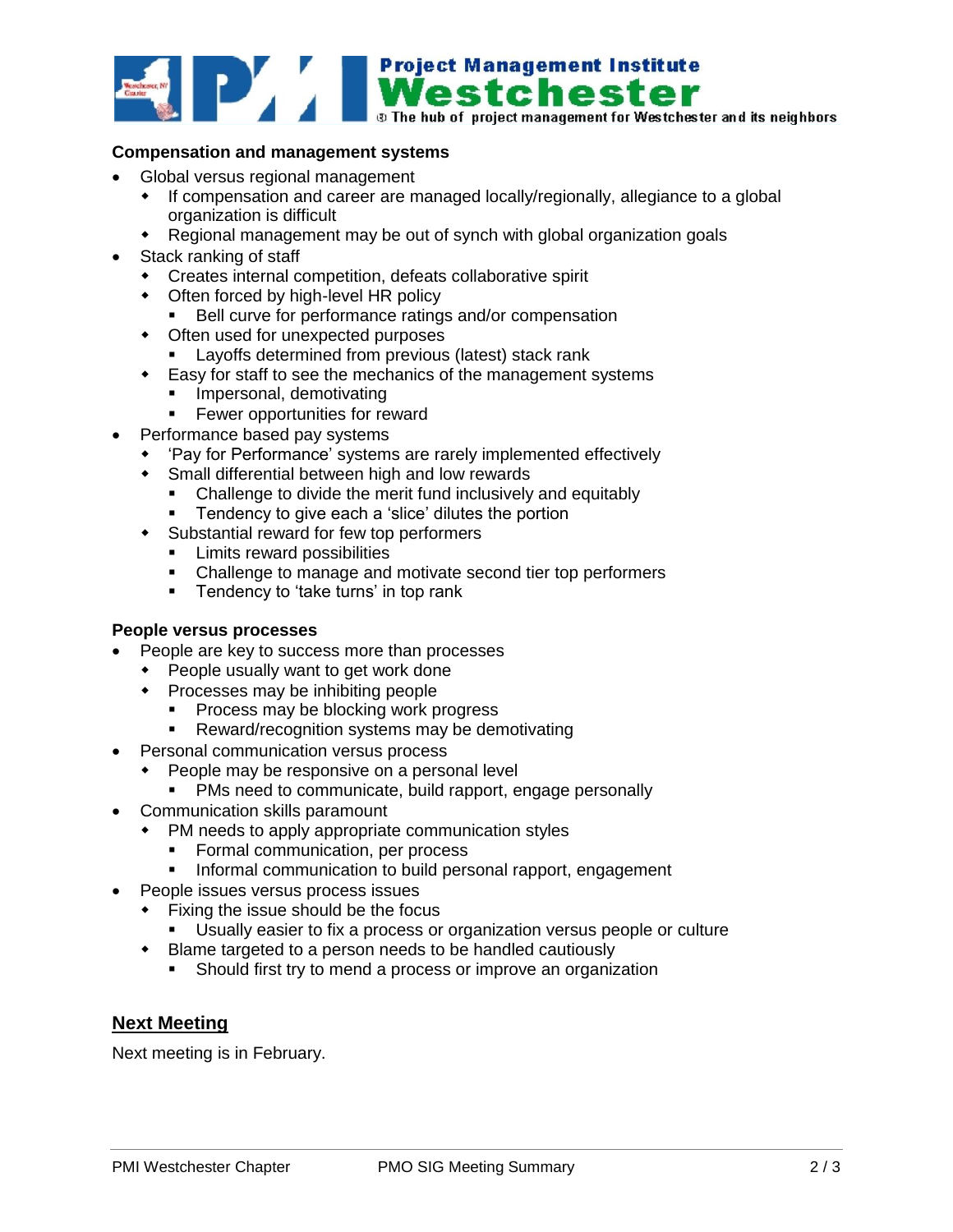

#### **Compensation and management systems**

- Global versus regional management
	- If compensation and career are managed locally/regionally, allegiance to a global organization is difficult
	- Regional management may be out of synch with global organization goals
- Stack ranking of staff
	- Creates internal competition, defeats collaborative spirit
	- Often forced by high-level HR policy
		- Bell curve for performance ratings and/or compensation
	- Often used for unexpected purposes
		- **Layoffs determined from previous (latest) stack rank**
	- Easy for staff to see the mechanics of the management systems
		- **Impersonal, demotivating**
		- **Fewer opportunities for reward**
- Performance based pay systems
	- 'Pay for Performance' systems are rarely implemented effectively
	- Small differential between high and low rewards
		- Challenge to divide the merit fund inclusively and equitably
		- **Tendency to give each a 'slice' dilutes the portion**
	- Substantial reward for few top performers
		- **Limits reward possibilities**
		- Challenge to manage and motivate second tier top performers
		- **Tendency to 'take turns' in top rank**

#### **People versus processes**

- People are key to success more than processes
	- People usually want to get work done
	- Processes may be inhibiting people
		- **Process may be blocking work progress**
		- **Reward/recognition systems may be demotivating**
- Personal communication versus process
	- People may be responsive on a personal level
	- PMs need to communicate, build rapport, engage personally
- Communication skills paramount
	- PM needs to apply appropriate communication styles
		- **Formal communication, per process**
		- **Informal communication to build personal rapport, engagement**
	- People issues versus process issues
	- Fixing the issue should be the focus
		- Usually easier to fix a process or organization versus people or culture
	- Blame targeted to a person needs to be handled cautiously
		- Should first try to mend a process or improve an organization

### **Next Meeting**

Next meeting is in February.